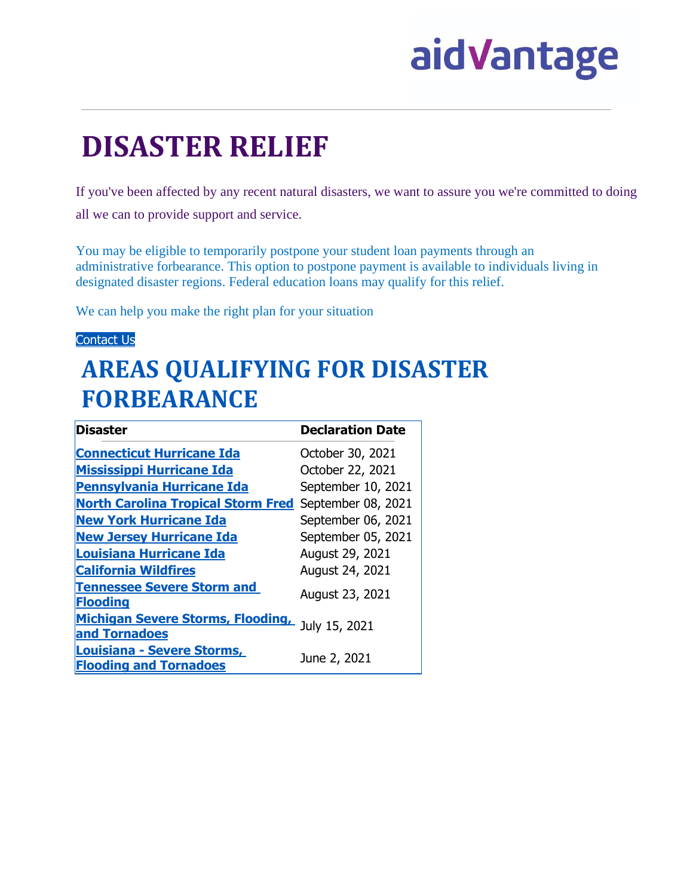# aidVantage

## **DISASTER RELIEF**

If you've been affected by any recent natural disasters, we want to assure you we're committed to doing all we can to provide support and service.

You may be eligible to temporarily postpone your student loan payments through an administrative forbearance. This option to postpone payment is available to individuals living in designated disaster regions. Federal education loans may qualify for this relief.

We can help you make the right plan for your situation.

#### [Contact](https://navient.com/contact-us) Us

### **AREAS QUALIFYING FOR DISASTER FORBEARANCE**

| <b>Disaster</b>                                                  | <b>Declaration Date</b> |
|------------------------------------------------------------------|-------------------------|
| <b>Connecticut Hurricane Ida</b>                                 | October 30, 2021        |
| <b>Mississippi Hurricane Ida</b>                                 | October 22, 2021        |
| <b>Pennsylvania Hurricane Ida</b>                                | September 10, 2021      |
| <b>North Carolina Tropical Storm Fred</b>                        | September 08, 2021      |
| <b>New York Hurricane Ida</b>                                    | September 06, 2021      |
| <b>New Jersey Hurricane Ida</b>                                  | September 05, 2021      |
| <b>Louisiana Hurricane Ida</b>                                   | August 29, 2021         |
| <b>California Wildfires</b>                                      | August 24, 2021         |
| <b>Tennessee Severe Storm and</b><br><b>Flooding</b>             | August 23, 2021         |
| Michigan Severe Storms, Flooding, July 15, 2021<br>and Tornadoes |                         |
| Louisiana - Severe Storms,<br><b>Flooding and Tornadoes</b>      | June 2, 2021            |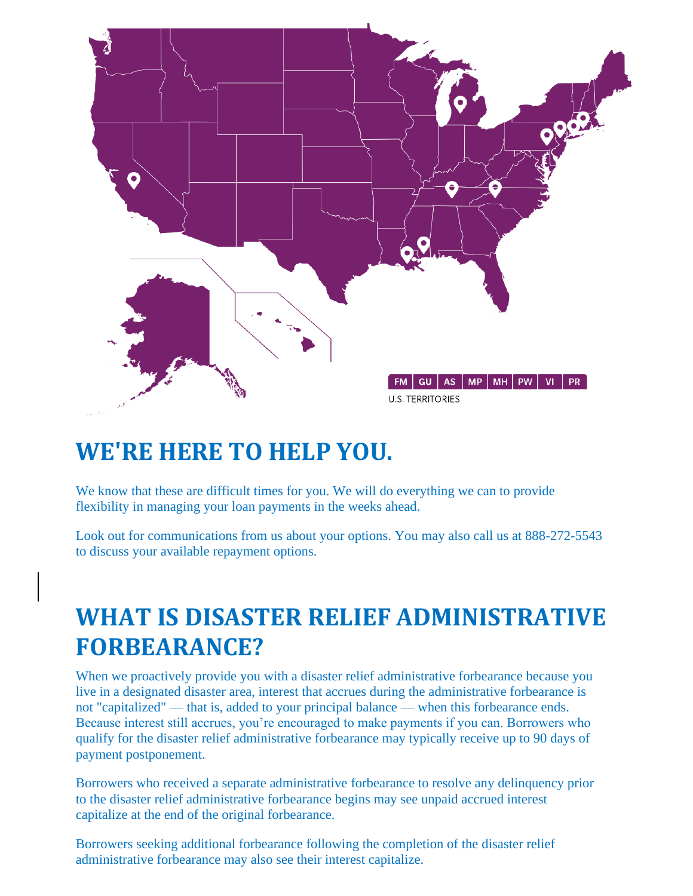

#### **WE'RE HERE TO HELP YOU.**

We know that these are difficult times for you. We will do everything we can to provide flexibility in managing your loan payments in the weeks ahead.

Look out for communications from us about your options. You may also call us at 888-272-5543 to discuss your available repayment options.

#### **WHAT IS DISASTER RELIEF ADMINISTRATIVE FORBEARANCE?**

When we proactively provide you with a disaster relief administrative forbearance because you live in a designated disaster area, interest that accrues during the administrative forbearance is not "capitalized" — that is, added to your principal balance — when this forbearance ends. Because interest still accrues, you're encouraged to make payments if you can. Borrowers who qualify for the disaster relief administrative forbearance may typically receive up to 90 days of payment postponement.

Borrowers who received a separate administrative forbearance to resolve any delinquency prior to the disaster relief administrative forbearance begins may see unpaid accrued interest capitalize at the end of the original forbearance.

Borrowers seeking additional forbearance following the completion of the disaster relief administrative forbearance may also see their interest capitalize.